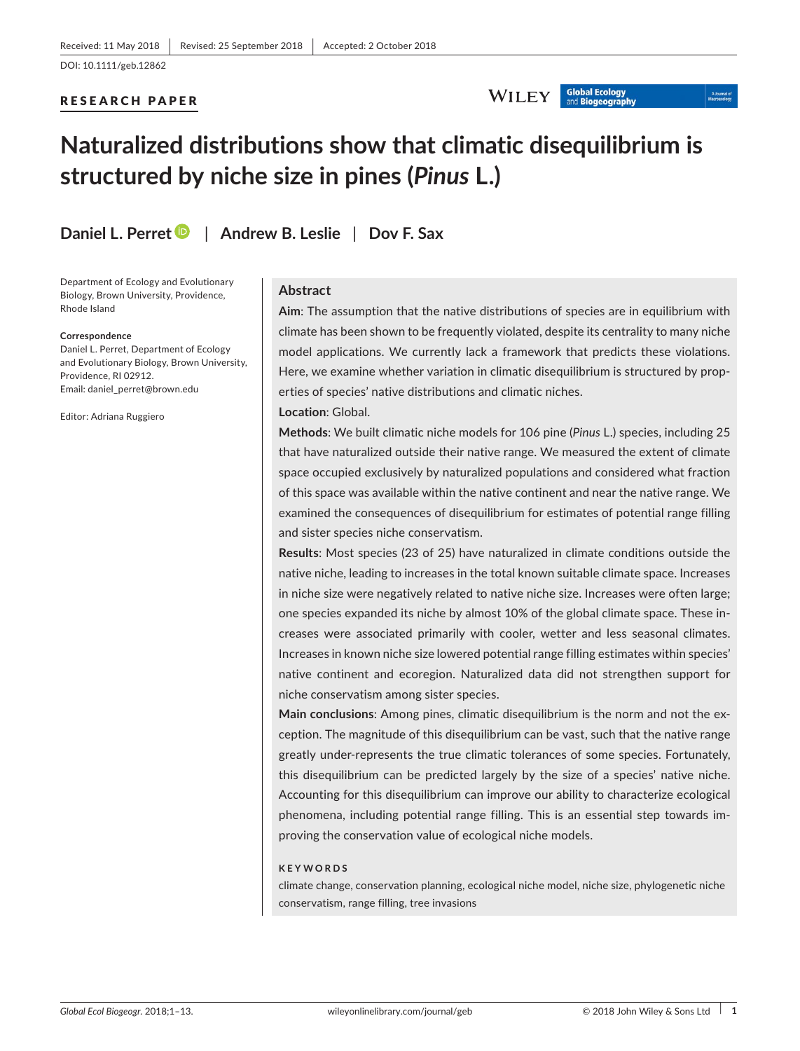### RESEARCH PAPER

## WILEY Global Ecology

# **Naturalized distributions show that climatic disequilibrium is structured by niche size in pines (***Pinus* **L.)**

**Daniel L. Perret** | **Andrew B. Leslie** | **Dov F. Sax**

Department of Ecology and Evolutionary Biology, Brown University, Providence, Rhode Island

#### **Correspondence**

Daniel L. Perret, Department of Ecology and Evolutionary Biology, Brown University, Providence, RI 02912. Email: [daniel\\_perret@brown.edu](mailto:daniel_perret@brown.edu)

Editor: Adriana Ruggiero

## **Abstract**

**Aim**: The assumption that the native distributions of species are in equilibrium with climate has been shown to be frequently violated, despite its centrality to many niche model applications. We currently lack a framework that predicts these violations. Here, we examine whether variation in climatic disequilibrium is structured by properties of species' native distributions and climatic niches.

## **Location**: Global.

**Methods**: We built climatic niche models for 106 pine (*Pinus* L.) species, including 25 that have naturalized outside their native range. We measured the extent of climate space occupied exclusively by naturalized populations and considered what fraction of this space was available within the native continent and near the native range. We examined the consequences of disequilibrium for estimates of potential range filling and sister species niche conservatism.

**Results**: Most species (23 of 25) have naturalized in climate conditions outside the native niche, leading to increases in the total known suitable climate space. Increases in niche size were negatively related to native niche size. Increases were often large; one species expanded its niche by almost 10% of the global climate space. These increases were associated primarily with cooler, wetter and less seasonal climates. Increases in known niche size lowered potential range filling estimates within species' native continent and ecoregion. Naturalized data did not strengthen support for niche conservatism among sister species.

**Main conclusions**: Among pines, climatic disequilibrium is the norm and not the exception. The magnitude of this disequilibrium can be vast, such that the native range greatly under‐represents the true climatic tolerances of some species. Fortunately, this disequilibrium can be predicted largely by the size of a species' native niche. Accounting for this disequilibrium can improve our ability to characterize ecological phenomena, including potential range filling. This is an essential step towards improving the conservation value of ecological niche models.

#### **KEYWORDS**

climate change, conservation planning, ecological niche model, niche size, phylogenetic niche conservatism, range filling, tree invasions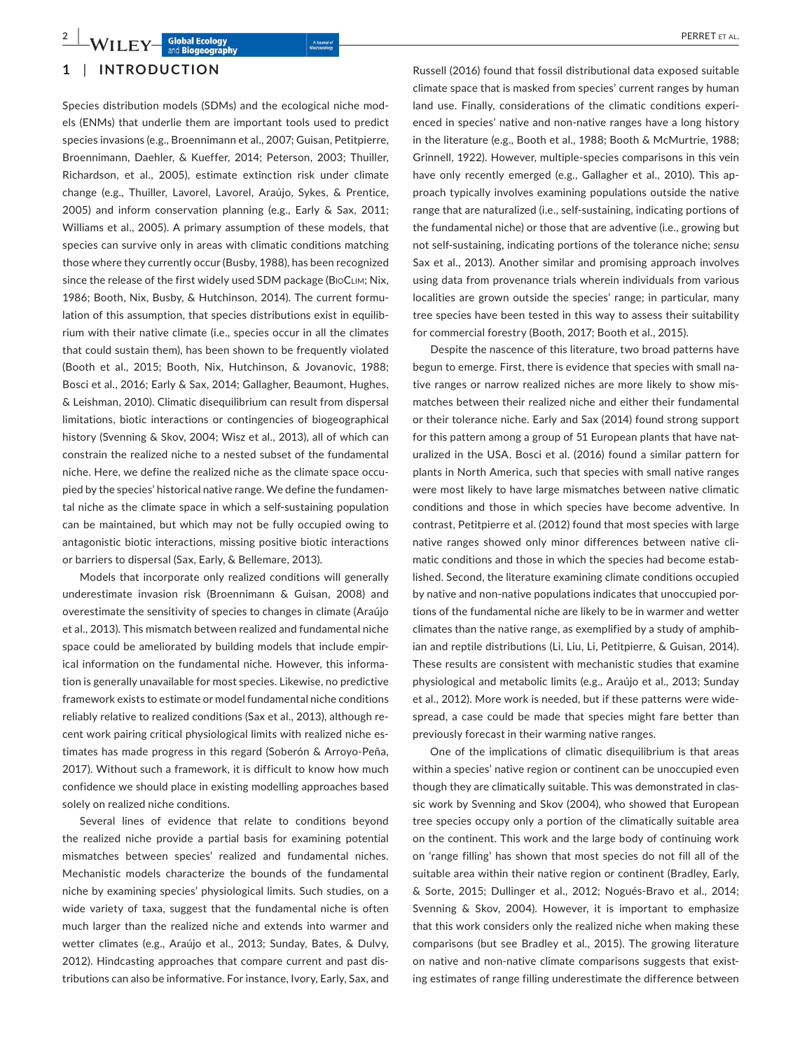## **1** | **INTRODUCTION**

Species distribution models (SDMs) and the ecological niche models (ENMs) that underlie them are important tools used to predict species invasions (e.g., Broennimann et al., 2007; Guisan, Petitpierre, Broennimann, Daehler, & Kueffer, 2014; Peterson, 2003; Thuiller, Richardson, et al., 2005), estimate extinction risk under climate change (e.g., Thuiller, Lavorel, Lavorel, Araújo, Sykes, & Prentice, 2005) and inform conservation planning (e.g., Early & Sax, 2011; Williams et al., 2005). A primary assumption of these models, that species can survive only in areas with climatic conditions matching those where they currently occur (Busby, 1988), has been recognized since the release of the first widely used SDM package (BIOCLIM; Nix, 1986; Booth, Nix, Busby, & Hutchinson, 2014). The current formulation of this assumption, that species distributions exist in equilibrium with their native climate (i.e., species occur in all the climates that could sustain them), has been shown to be frequently violated (Booth et al., 2015; Booth, Nix, Hutchinson, & Jovanovic, 1988; Bosci et al., 2016; Early & Sax, 2014; Gallagher, Beaumont, Hughes, & Leishman, 2010). Climatic disequilibrium can result from dispersal limitations, biotic interactions or contingencies of biogeographical history (Svenning & Skov, 2004; Wisz et al., 2013), all of which can constrain the realized niche to a nested subset of the fundamental niche. Here, we define the realized niche as the climate space occupied by the species' historical native range. We define the fundamental niche as the climate space in which a self‐sustaining population can be maintained, but which may not be fully occupied owing to antagonistic biotic interactions, missing positive biotic interactions or barriers to dispersal (Sax, Early, & Bellemare, 2013).

Models that incorporate only realized conditions will generally underestimate invasion risk (Broennimann & Guisan, 2008) and overestimate the sensitivity of species to changes in climate (Araújo et al., 2013). This mismatch between realized and fundamental niche space could be ameliorated by building models that include empirical information on the fundamental niche. However, this information is generally unavailable for most species. Likewise, no predictive framework exists to estimate or model fundamental niche conditions reliably relative to realized conditions (Sax et al., 2013), although recent work pairing critical physiological limits with realized niche estimates has made progress in this regard (Soberón & Arroyo‐Peña, 2017). Without such a framework, it is difficult to know how much confidence we should place in existing modelling approaches based solely on realized niche conditions.

Several lines of evidence that relate to conditions beyond the realized niche provide a partial basis for examining potential mismatches between species' realized and fundamental niches. Mechanistic models characterize the bounds of the fundamental niche by examining species' physiological limits. Such studies, on a wide variety of taxa, suggest that the fundamental niche is often much larger than the realized niche and extends into warmer and wetter climates (e.g., Araújo et al., 2013; Sunday, Bates, & Dulvy, 2012). Hindcasting approaches that compare current and past distributions can also be informative. For instance, Ivory, Early, Sax, and

Russell (2016) found that fossil distributional data exposed suitable climate space that is masked from species' current ranges by human land use. Finally, considerations of the climatic conditions experienced in species' native and non-native ranges have a long history in the literature (e.g., Booth et al., 1988; Booth & McMurtrie, 1988; Grinnell, 1922). However, multiple‐species comparisons in this vein have only recently emerged (e.g., Gallagher et al., 2010). This approach typically involves examining populations outside the native range that are naturalized (i.e., self‐sustaining, indicating portions of the fundamental niche) or those that are adventive (i.e., growing but not self‐sustaining, indicating portions of the tolerance niche; *sensu* Sax et al., 2013). Another similar and promising approach involves using data from provenance trials wherein individuals from various localities are grown outside the species' range; in particular, many tree species have been tested in this way to assess their suitability for commercial forestry (Booth, 2017; Booth et al., 2015).

Despite the nascence of this literature, two broad patterns have begun to emerge. First, there is evidence that species with small native ranges or narrow realized niches are more likely to show mismatches between their realized niche and either their fundamental or their tolerance niche. Early and Sax (2014) found strong support for this pattern among a group of 51 European plants that have naturalized in the USA. Bosci et al. (2016) found a similar pattern for plants in North America, such that species with small native ranges were most likely to have large mismatches between native climatic conditions and those in which species have become adventive. In contrast, Petitpierre et al. (2012) found that most species with large native ranges showed only minor differences between native climatic conditions and those in which the species had become established. Second, the literature examining climate conditions occupied by native and non‐native populations indicates that unoccupied portions of the fundamental niche are likely to be in warmer and wetter climates than the native range, as exemplified by a study of amphibian and reptile distributions (Li, Liu, Li, Petitpierre, & Guisan, 2014). These results are consistent with mechanistic studies that examine physiological and metabolic limits (e.g., Araújo et al., 2013; Sunday et al., 2012). More work is needed, but if these patterns were widespread, a case could be made that species might fare better than previously forecast in their warming native ranges.

One of the implications of climatic disequilibrium is that areas within a species' native region or continent can be unoccupied even though they are climatically suitable. This was demonstrated in classic work by Svenning and Skov (2004), who showed that European tree species occupy only a portion of the climatically suitable area on the continent. This work and the large body of continuing work on 'range filling' has shown that most species do not fill all of the suitable area within their native region or continent (Bradley, Early, & Sorte, 2015; Dullinger et al., 2012; Nogués‐Bravo et al., 2014; Svenning & Skov, 2004). However, it is important to emphasize that this work considers only the realized niche when making these comparisons (but see Bradley et al., 2015). The growing literature on native and non‐native climate comparisons suggests that existing estimates of range filling underestimate the difference between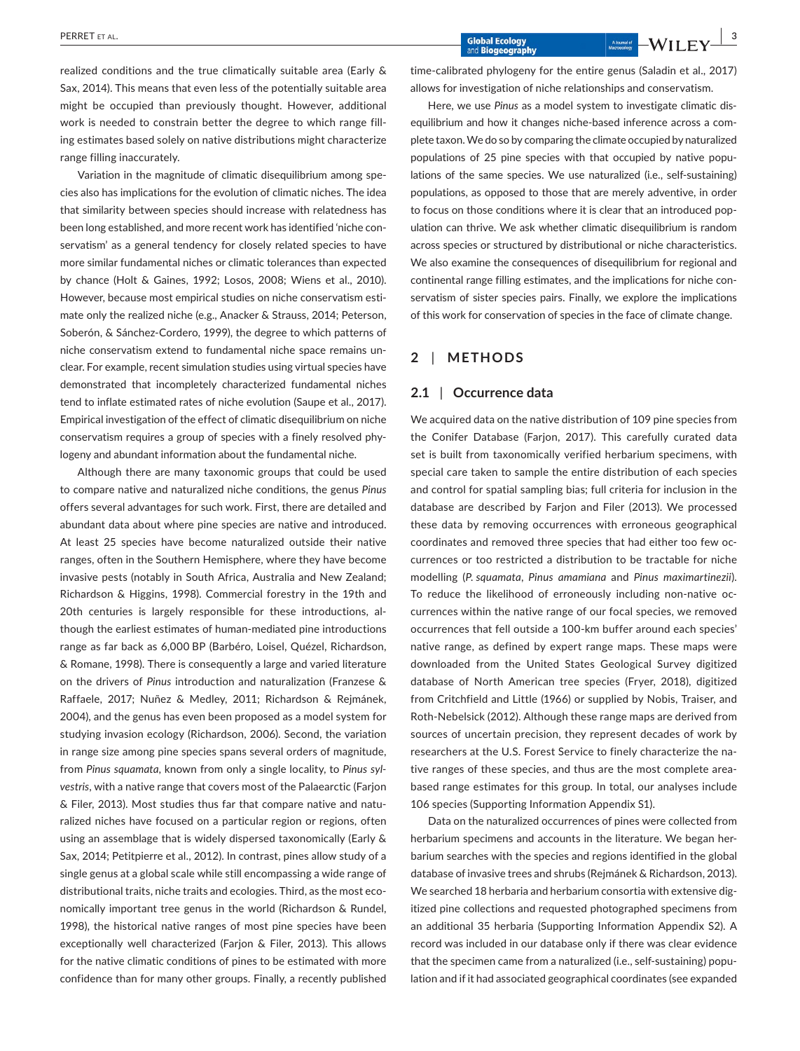realized conditions and the true climatically suitable area (Early & Sax, 2014). This means that even less of the potentially suitable area might be occupied than previously thought. However, additional work is needed to constrain better the degree to which range filling estimates based solely on native distributions might characterize range filling inaccurately.

Variation in the magnitude of climatic disequilibrium among species also has implications for the evolution of climatic niches. The idea that similarity between species should increase with relatedness has been long established, and more recent work has identified 'niche conservatism' as a general tendency for closely related species to have more similar fundamental niches or climatic tolerances than expected by chance (Holt & Gaines, 1992; Losos, 2008; Wiens et al., 2010). However, because most empirical studies on niche conservatism estimate only the realized niche (e.g., Anacker & Strauss, 2014; Peterson, Soberón, & Sánchez‐Cordero, 1999), the degree to which patterns of niche conservatism extend to fundamental niche space remains unclear. For example, recent simulation studies using virtual species have demonstrated that incompletely characterized fundamental niches tend to inflate estimated rates of niche evolution (Saupe et al., 2017). Empirical investigation of the effect of climatic disequilibrium on niche conservatism requires a group of species with a finely resolved phylogeny and abundant information about the fundamental niche.

Although there are many taxonomic groups that could be used to compare native and naturalized niche conditions, the genus *Pinus* offers several advantages for such work. First, there are detailed and abundant data about where pine species are native and introduced. At least 25 species have become naturalized outside their native ranges, often in the Southern Hemisphere, where they have become invasive pests (notably in South Africa, Australia and New Zealand; Richardson & Higgins, 1998). Commercial forestry in the 19th and 20th centuries is largely responsible for these introductions, although the earliest estimates of human‐mediated pine introductions range as far back as 6,000 BP (Barbéro, Loisel, Quézel, Richardson, & Romane, 1998). There is consequently a large and varied literature on the drivers of *Pinus* introduction and naturalization (Franzese & Raffaele, 2017; Nuñez & Medley, 2011; Richardson & Rejmánek, 2004), and the genus has even been proposed as a model system for studying invasion ecology (Richardson, 2006). Second, the variation in range size among pine species spans several orders of magnitude, from *Pinus squamata*, known from only a single locality, to *Pinus sylvestris*, with a native range that covers most of the Palaearctic (Farjon & Filer, 2013). Most studies thus far that compare native and naturalized niches have focused on a particular region or regions, often using an assemblage that is widely dispersed taxonomically (Early & Sax, 2014; Petitpierre et al., 2012). In contrast, pines allow study of a single genus at a global scale while still encompassing a wide range of distributional traits, niche traits and ecologies. Third, as the most economically important tree genus in the world (Richardson & Rundel, 1998), the historical native ranges of most pine species have been exceptionally well characterized (Farjon & Filer, 2013). This allows for the native climatic conditions of pines to be estimated with more confidence than for many other groups. Finally, a recently published time-calibrated phylogeny for the entire genus (Saladin et al., 2017) allows for investigation of niche relationships and conservatism.

Here, we use *Pinus* as a model system to investigate climatic disequilibrium and how it changes niche‐based inference across a complete taxon.We do so by comparing the climate occupied by naturalized populations of 25 pine species with that occupied by native populations of the same species. We use naturalized (i.e., self‐sustaining) populations, as opposed to those that are merely adventive, in order to focus on those conditions where it is clear that an introduced population can thrive. We ask whether climatic disequilibrium is random across species or structured by distributional or niche characteristics. We also examine the consequences of disequilibrium for regional and continental range filling estimates, and the implications for niche conservatism of sister species pairs. Finally, we explore the implications of this work for conservation of species in the face of climate change.

## **2** | **METHODS**

#### **2.1** | **Occurrence data**

We acquired data on the native distribution of 109 pine species from the Conifer Database (Farjon, 2017). This carefully curated data set is built from taxonomically verified herbarium specimens, with special care taken to sample the entire distribution of each species and control for spatial sampling bias; full criteria for inclusion in the database are described by Farjon and Filer (2013). We processed these data by removing occurrences with erroneous geographical coordinates and removed three species that had either too few occurrences or too restricted a distribution to be tractable for niche modelling (*P. squamata*, *Pinus amamiana* and *Pinus maximartinezii*). To reduce the likelihood of erroneously including non‐native occurrences within the native range of our focal species, we removed occurrences that fell outside a 100‐km buffer around each species' native range, as defined by expert range maps. These maps were downloaded from the United States Geological Survey digitized database of North American tree species (Fryer, 2018), digitized from Critchfield and Little (1966) or supplied by Nobis, Traiser, and Roth‐Nebelsick (2012). Although these range maps are derived from sources of uncertain precision, they represent decades of work by researchers at the U.S. Forest Service to finely characterize the native ranges of these species, and thus are the most complete area‐ based range estimates for this group. In total, our analyses include 106 species (Supporting Information Appendix S1).

Data on the naturalized occurrences of pines were collected from herbarium specimens and accounts in the literature. We began herbarium searches with the species and regions identified in the global database of invasive trees and shrubs (Rejmánek & Richardson, 2013). We searched 18 herbaria and herbarium consortia with extensive digitized pine collections and requested photographed specimens from an additional 35 herbaria (Supporting Information Appendix S2). A record was included in our database only if there was clear evidence that the specimen came from a naturalized (i.e., self‐sustaining) population and if it had associated geographical coordinates (see expanded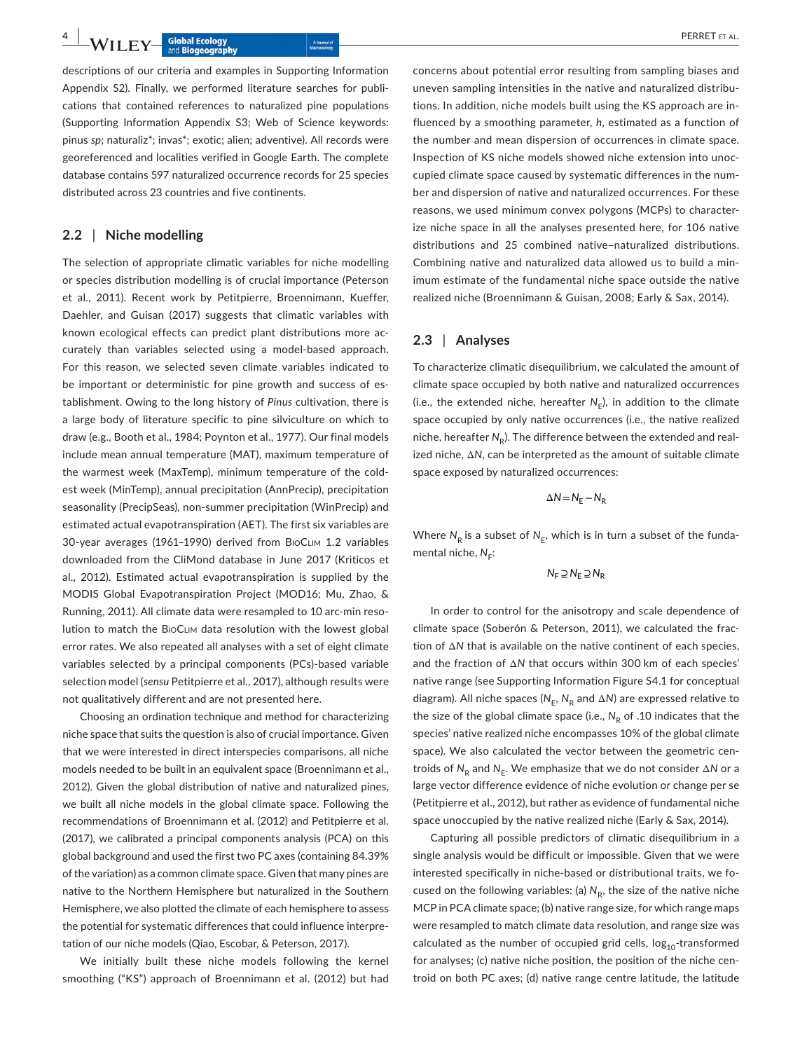**4 |**  PERRET et al.

descriptions of our criteria and examples in Supporting Information Appendix S2). Finally, we performed literature searches for publications that contained references to naturalized pine populations (Supporting Information Appendix S3; Web of Science keywords: pinus *sp*; naturaliz\*; invas\*; exotic; alien; adventive). All records were georeferenced and localities verified in Google Earth. The complete database contains 597 naturalized occurrence records for 25 species distributed across 23 countries and five continents.

## **2.2** | **Niche modelling**

The selection of appropriate climatic variables for niche modelling or species distribution modelling is of crucial importance (Peterson et al., 2011). Recent work by Petitpierre, Broennimann, Kueffer, Daehler, and Guisan (2017) suggests that climatic variables with known ecological effects can predict plant distributions more accurately than variables selected using a model‐based approach. For this reason, we selected seven climate variables indicated to be important or deterministic for pine growth and success of establishment. Owing to the long history of *Pinus* cultivation, there is a large body of literature specific to pine silviculture on which to draw (e.g., Booth et al., 1984; Poynton et al., 1977). Our final models include mean annual temperature (MAT), maximum temperature of the warmest week (MaxTemp), minimum temperature of the coldest week (MinTemp), annual precipitation (AnnPrecip), precipitation seasonality (PrecipSeas), non-summer precipitation (WinPrecip) and estimated actual evapotranspiration (AET). The first six variables are 30‐year averages (1961–1990) derived from BioClim 1.2 variables downloaded from the CliMond database in June 2017 (Kriticos et al., 2012). Estimated actual evapotranspiration is supplied by the MODIS Global Evapotranspiration Project (MOD16; Mu, Zhao, & Running, 2011). All climate data were resampled to 10 arc‐min resolution to match the BioClim data resolution with the lowest global error rates. We also repeated all analyses with a set of eight climate variables selected by a principal components (PCs)‐based variable selection model (*sensu* Petitpierre et al., 2017), although results were not qualitatively different and are not presented here.

Choosing an ordination technique and method for characterizing niche space that suits the question is also of crucial importance. Given that we were interested in direct interspecies comparisons, all niche models needed to be built in an equivalent space (Broennimann et al., 2012). Given the global distribution of native and naturalized pines, we built all niche models in the global climate space. Following the recommendations of Broennimann et al. (2012) and Petitpierre et al. (2017), we calibrated a principal components analysis (PCA) on this global background and used the first two PC axes (containing 84.39% of the variation) as a common climate space. Given that many pines are native to the Northern Hemisphere but naturalized in the Southern Hemisphere, we also plotted the climate of each hemisphere to assess the potential for systematic differences that could influence interpretation of our niche models (Qiao, Escobar, & Peterson, 2017).

We initially built these niche models following the kernel smoothing ("KS") approach of Broennimann et al. (2012) but had

concerns about potential error resulting from sampling biases and uneven sampling intensities in the native and naturalized distributions. In addition, niche models built using the KS approach are influenced by a smoothing parameter, *h*, estimated as a function of the number and mean dispersion of occurrences in climate space. Inspection of KS niche models showed niche extension into unoccupied climate space caused by systematic differences in the number and dispersion of native and naturalized occurrences. For these reasons, we used minimum convex polygons (MCPs) to characterize niche space in all the analyses presented here, for 106 native distributions and 25 combined native–naturalized distributions. Combining native and naturalized data allowed us to build a minimum estimate of the fundamental niche space outside the native realized niche (Broennimann & Guisan, 2008; Early & Sax, 2014).

#### **2.3** | **Analyses**

To characterize climatic disequilibrium, we calculated the amount of climate space occupied by both native and naturalized occurrences (i.e., the extended niche, hereafter  $N_F$ ), in addition to the climate space occupied by only native occurrences (i.e., the native realized niche, hereafter N<sub>p</sub>). The difference between the extended and realized niche, Δ*N*, can be interpreted as the amount of suitable climate space exposed by naturalized occurrences:

$$
\Delta N = N_E - N_R
$$

Where  $N_R$  is a subset of  $N_E$ , which is in turn a subset of the fundamental niche, N<sub>E</sub>:

$$
N_F \supseteq N_E \supseteq N_R
$$

In order to control for the anisotropy and scale dependence of climate space (Soberón & Peterson, 2011), we calculated the fraction of Δ*N* that is available on the native continent of each species, and the fraction of Δ*N* that occurs within 300 km of each species' native range (see Supporting Information Figure S4.1 for conceptual diagram). All niche spaces ( $N_E$ ,  $N_R$  and  $\Delta N$ ) are expressed relative to the size of the global climate space (i.e.,  $N_R$  of .10 indicates that the species' native realized niche encompasses 10% of the global climate space). We also calculated the vector between the geometric centroids of N<sub>R</sub> and N<sub>E</sub>. We emphasize that we do not consider ΔN or a large vector difference evidence of niche evolution or change per se (Petitpierre et al., 2012), but rather as evidence of fundamental niche space unoccupied by the native realized niche (Early & Sax, 2014).

Capturing all possible predictors of climatic disequilibrium in a single analysis would be difficult or impossible. Given that we were interested specifically in niche‐based or distributional traits, we focused on the following variables: (a)  $N_R$ , the size of the native niche MCP in PCA climate space; (b) native range size, for which range maps were resampled to match climate data resolution, and range size was calculated as the number of occupied grid cells,  $log<sub>10</sub>$ -transformed for analyses; (c) native niche position, the position of the niche centroid on both PC axes; (d) native range centre latitude, the latitude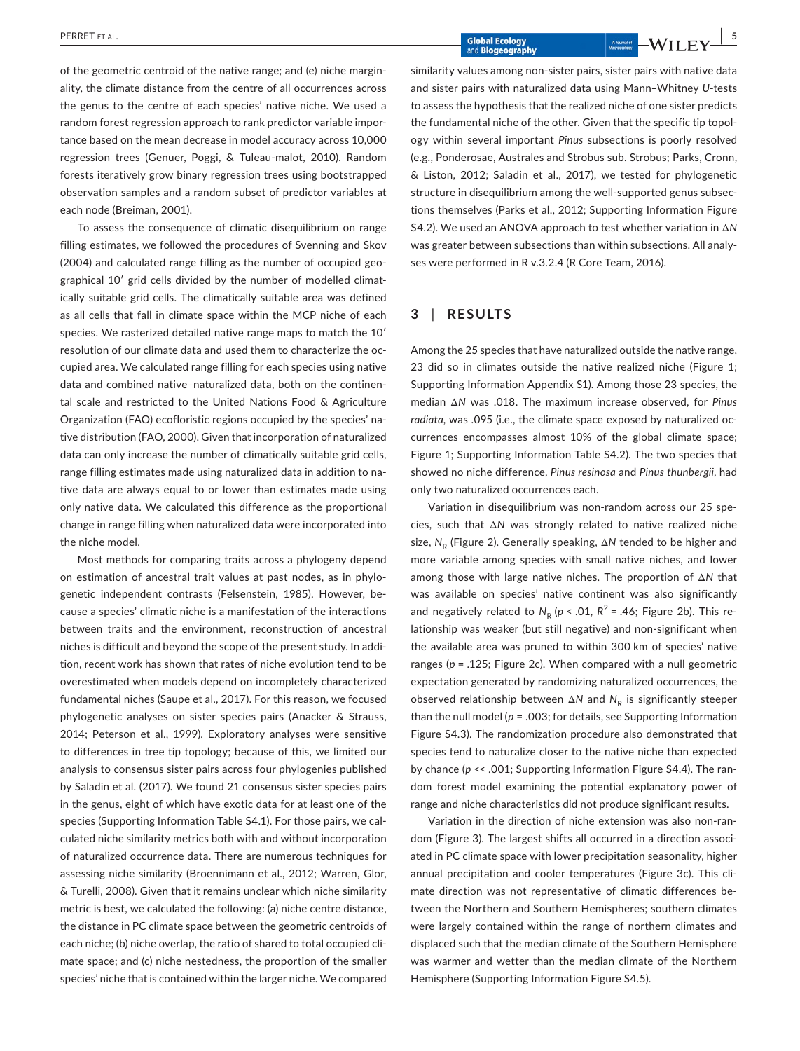of the geometric centroid of the native range; and (e) niche marginality, the climate distance from the centre of all occurrences across the genus to the centre of each species' native niche. We used a random forest regression approach to rank predictor variable importance based on the mean decrease in model accuracy across 10,000 regression trees (Genuer, Poggi, & Tuleau‐malot, 2010). Random forests iteratively grow binary regression trees using bootstrapped observation samples and a random subset of predictor variables at each node (Breiman, 2001).

To assess the consequence of climatic disequilibrium on range filling estimates, we followed the procedures of Svenning and Skov (2004) and calculated range filling as the number of occupied geographical 10′ grid cells divided by the number of modelled climatically suitable grid cells. The climatically suitable area was defined as all cells that fall in climate space within the MCP niche of each species. We rasterized detailed native range maps to match the 10′ resolution of our climate data and used them to characterize the occupied area. We calculated range filling for each species using native data and combined native–naturalized data, both on the continental scale and restricted to the United Nations Food & Agriculture Organization (FAO) ecofloristic regions occupied by the species' native distribution (FAO, 2000). Given that incorporation of naturalized data can only increase the number of climatically suitable grid cells, range filling estimates made using naturalized data in addition to native data are always equal to or lower than estimates made using only native data. We calculated this difference as the proportional change in range filling when naturalized data were incorporated into the niche model.

Most methods for comparing traits across a phylogeny depend on estimation of ancestral trait values at past nodes, as in phylogenetic independent contrasts (Felsenstein, 1985). However, because a species' climatic niche is a manifestation of the interactions between traits and the environment, reconstruction of ancestral niches is difficult and beyond the scope of the present study. In addition, recent work has shown that rates of niche evolution tend to be overestimated when models depend on incompletely characterized fundamental niches (Saupe et al., 2017). For this reason, we focused phylogenetic analyses on sister species pairs (Anacker & Strauss, 2014; Peterson et al., 1999). Exploratory analyses were sensitive to differences in tree tip topology; because of this, we limited our analysis to consensus sister pairs across four phylogenies published by Saladin et al. (2017). We found 21 consensus sister species pairs in the genus, eight of which have exotic data for at least one of the species (Supporting Information Table S4.1). For those pairs, we calculated niche similarity metrics both with and without incorporation of naturalized occurrence data. There are numerous techniques for assessing niche similarity (Broennimann et al., 2012; Warren, Glor, & Turelli, 2008). Given that it remains unclear which niche similarity metric is best, we calculated the following: (a) niche centre distance, the distance in PC climate space between the geometric centroids of each niche; (b) niche overlap, the ratio of shared to total occupied climate space; and (c) niche nestedness, the proportion of the smaller species' niche that is contained within the larger niche. We compared

similarity values among non‐sister pairs, sister pairs with native data and sister pairs with naturalized data using Mann–Whitney *U*‐tests to assess the hypothesis that the realized niche of one sister predicts the fundamental niche of the other. Given that the specific tip topology within several important *Pinus* subsections is poorly resolved (e.g., Ponderosae, Australes and Strobus sub. Strobus; Parks, Cronn, & Liston, 2012; Saladin et al., 2017), we tested for phylogenetic structure in disequilibrium among the well-supported genus subsections themselves (Parks et al., 2012; Supporting Information Figure S4.2). We used an ANOVA approach to test whether variation in Δ*N* was greater between subsections than within subsections. All analyses were performed in R v.3.2.4 (R Core Team, 2016).

## **3** | **RESULTS**

Among the 25 species that have naturalized outside the native range, 23 did so in climates outside the native realized niche (Figure 1; Supporting Information Appendix S1). Among those 23 species, the median Δ*N* was .018. The maximum increase observed, for *Pinus radiata*, was .095 (i.e., the climate space exposed by naturalized occurrences encompasses almost 10% of the global climate space; Figure 1; Supporting Information Table S4.2). The two species that showed no niche difference, *Pinus resinosa* and *Pinus thunbergii*, had only two naturalized occurrences each.

Variation in disequilibrium was non‐random across our 25 species, such that Δ*N* was strongly related to native realized niche size, N<sub>p</sub> (Figure 2). Generally speaking, ΔN tended to be higher and more variable among species with small native niches, and lower among those with large native niches. The proportion of Δ*N* that was available on species' native continent was also significantly and negatively related to  $N_R$  ( $p < .01$ ,  $R^2 = .46$ ; Figure 2b). This relationship was weaker (but still negative) and non‐significant when the available area was pruned to within 300 km of species' native ranges (*p* = .125; Figure 2c). When compared with a null geometric expectation generated by randomizing naturalized occurrences, the observed relationship between Δ*N* and *N*<sub>R</sub> is significantly steeper than the null model ( $p = 0.003$ ; for details, see Supporting Information Figure S4.3). The randomization procedure also demonstrated that species tend to naturalize closer to the native niche than expected by chance (*p* << .001; Supporting Information Figure S4.4). The random forest model examining the potential explanatory power of range and niche characteristics did not produce significant results.

Variation in the direction of niche extension was also non‐random (Figure 3). The largest shifts all occurred in a direction associated in PC climate space with lower precipitation seasonality, higher annual precipitation and cooler temperatures (Figure 3c). This climate direction was not representative of climatic differences between the Northern and Southern Hemispheres; southern climates were largely contained within the range of northern climates and displaced such that the median climate of the Southern Hemisphere was warmer and wetter than the median climate of the Northern Hemisphere (Supporting Information Figure S4.5).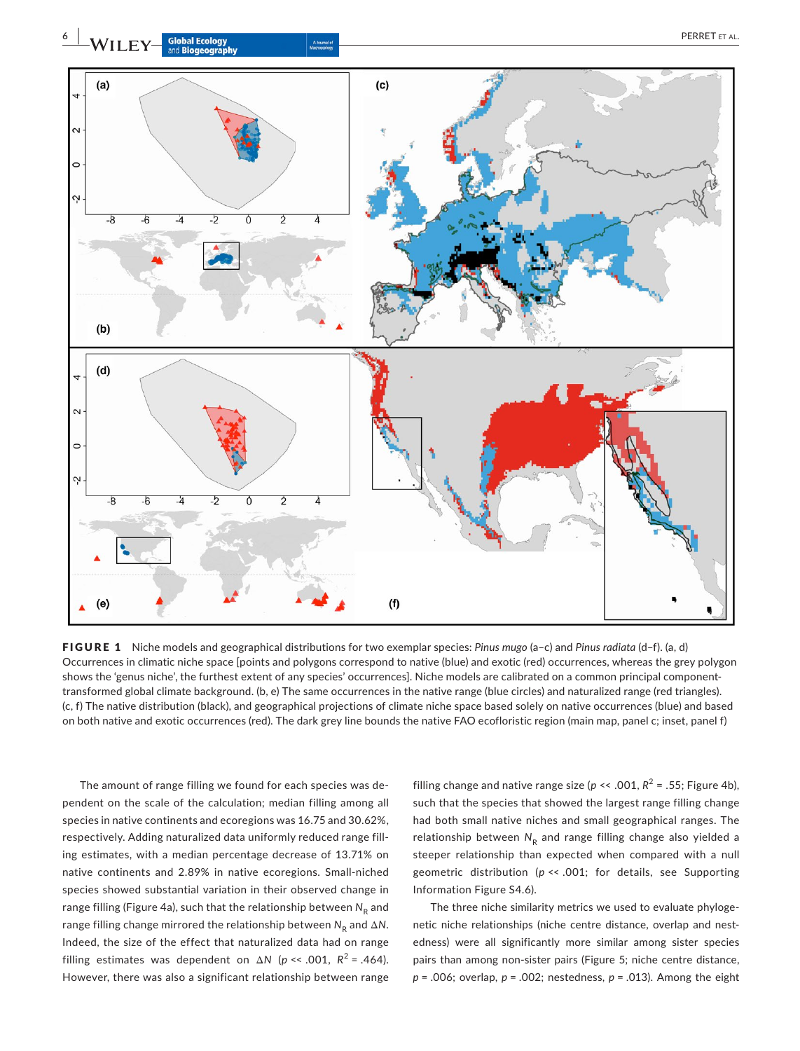

FIGURE 1 Niche models and geographical distributions for two exemplar species: *Pinus mugo* (a–c) and *Pinus radiata* (d–f). (a, d) Occurrences in climatic niche space [points and polygons correspond to native (blue) and exotic (red) occurrences, whereas the grey polygon shows the 'genus niche', the furthest extent of any species' occurrences]. Niche models are calibrated on a common principal componenttransformed global climate background. (b, e) The same occurrences in the native range (blue circles) and naturalized range (red triangles). (c, f) The native distribution (black), and geographical projections of climate niche space based solely on native occurrences (blue) and based on both native and exotic occurrences (red). The dark grey line bounds the native FAO ecofloristic region (main map, panel c; inset, panel f)

The amount of range filling we found for each species was dependent on the scale of the calculation; median filling among all species in native continents and ecoregions was 16.75 and 30.62%, respectively. Adding naturalized data uniformly reduced range filling estimates, with a median percentage decrease of 13.71% on native continents and 2.89% in native ecoregions. Small‐niched species showed substantial variation in their observed change in range filling (Figure 4a), such that the relationship between N<sub>R</sub> and range filling change mirrored the relationship between  $N_R$  and  $ΔN$ . Indeed, the size of the effect that naturalized data had on range filling estimates was dependent on  $\Delta N$  ( $p \ll .001$ ,  $R^2 = .464$ ). However, there was also a significant relationship between range

filling change and native range size ( $p \ll .001$ ,  $R^2 = .55$ ; Figure 4b), such that the species that showed the largest range filling change had both small native niches and small geographical ranges. The relationship between N<sub>R</sub> and range filling change also yielded a steeper relationship than expected when compared with a null geometric distribution (*p* << .001; for details, see Supporting Information Figure S4.6).

The three niche similarity metrics we used to evaluate phylogenetic niche relationships (niche centre distance, overlap and nestedness) were all significantly more similar among sister species pairs than among non‐sister pairs (Figure 5; niche centre distance, *p* = .006; overlap, *p* = .002; nestedness, *p* = .013). Among the eight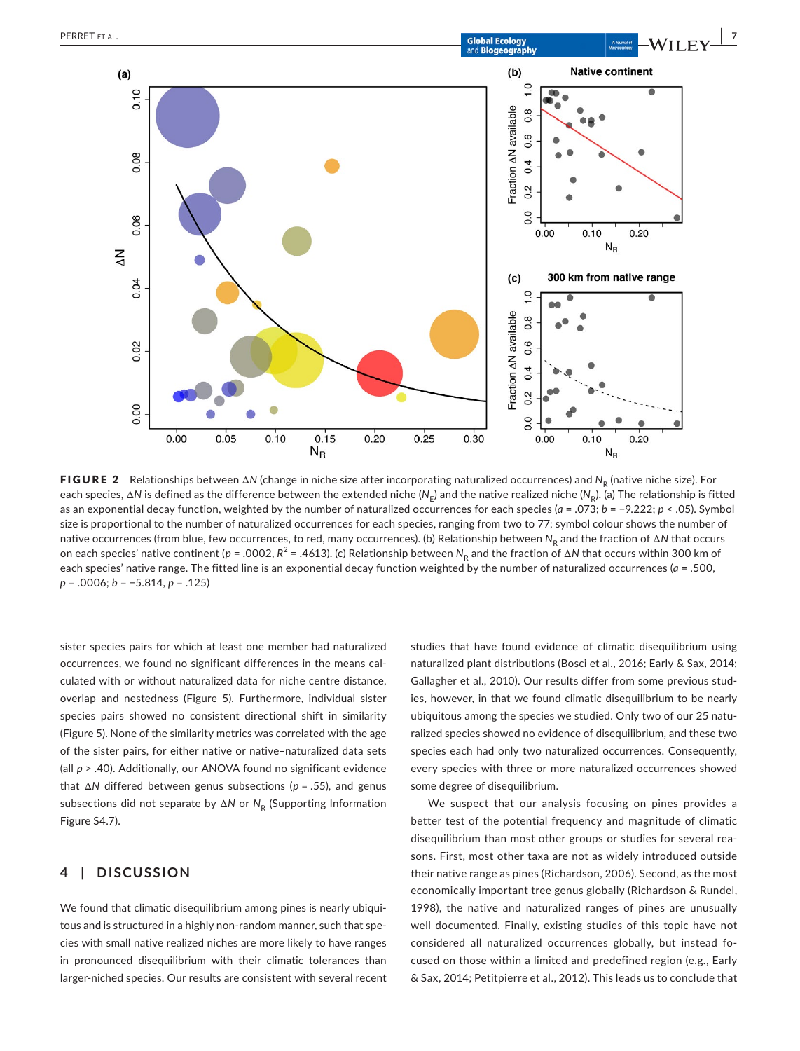

**FIGURE 2** Relationships between Δ*N* (change in niche size after incorporating naturalized occurrences) and *N<sub>p</sub>* (native niche size). For each species, ΔN is defined as the difference between the extended niche (N<sub>F</sub>) and the native realized niche (N<sub>R</sub>). (a) The relationship is fitted as an exponential decay function, weighted by the number of naturalized occurrences for each species (*a* = .073; *b* = −9.222; *p* < .05). Symbol size is proportional to the number of naturalized occurrences for each species, ranging from two to 77; symbol colour shows the number of native occurrences (from blue, few occurrences, to red, many occurrences). (b) Relationship between N<sub>R</sub> and the fraction of ΔN that occurs on each species' native continent (*p* = .0002,  $R^2$  = .4613). (c) Relationship between  $N_R$  and the fraction of Δ*N* that occurs within 300 km of each species' native range. The fitted line is an exponential decay function weighted by the number of naturalized occurrences (*a* = .500, *p* = .0006; *b* = −5.814, *p* = .125)

sister species pairs for which at least one member had naturalized occurrences, we found no significant differences in the means calculated with or without naturalized data for niche centre distance, overlap and nestedness (Figure 5). Furthermore, individual sister species pairs showed no consistent directional shift in similarity (Figure 5). None of the similarity metrics was correlated with the age of the sister pairs, for either native or native–naturalized data sets (all *p* > .40). Additionally, our ANOVA found no significant evidence that Δ*N* differed between genus subsections (*p* = .55), and genus subsections did not separate by ΔN or N<sub>R</sub> (Supporting Information Figure S4.7).

## **4** | **DISCUSSION**

We found that climatic disequilibrium among pines is nearly ubiquitous and is structured in a highly non‐random manner, such that species with small native realized niches are more likely to have ranges in pronounced disequilibrium with their climatic tolerances than larger‐niched species. Our results are consistent with several recent studies that have found evidence of climatic disequilibrium using naturalized plant distributions (Bosci et al., 2016; Early & Sax, 2014; Gallagher et al., 2010). Our results differ from some previous studies, however, in that we found climatic disequilibrium to be nearly ubiquitous among the species we studied. Only two of our 25 naturalized species showed no evidence of disequilibrium, and these two species each had only two naturalized occurrences. Consequently, every species with three or more naturalized occurrences showed some degree of disequilibrium.

We suspect that our analysis focusing on pines provides a better test of the potential frequency and magnitude of climatic disequilibrium than most other groups or studies for several reasons. First, most other taxa are not as widely introduced outside their native range as pines (Richardson, 2006). Second, as the most economically important tree genus globally (Richardson & Rundel, 1998), the native and naturalized ranges of pines are unusually well documented. Finally, existing studies of this topic have not considered all naturalized occurrences globally, but instead focused on those within a limited and predefined region (e.g., Early & Sax, 2014; Petitpierre et al., 2012). This leads us to conclude that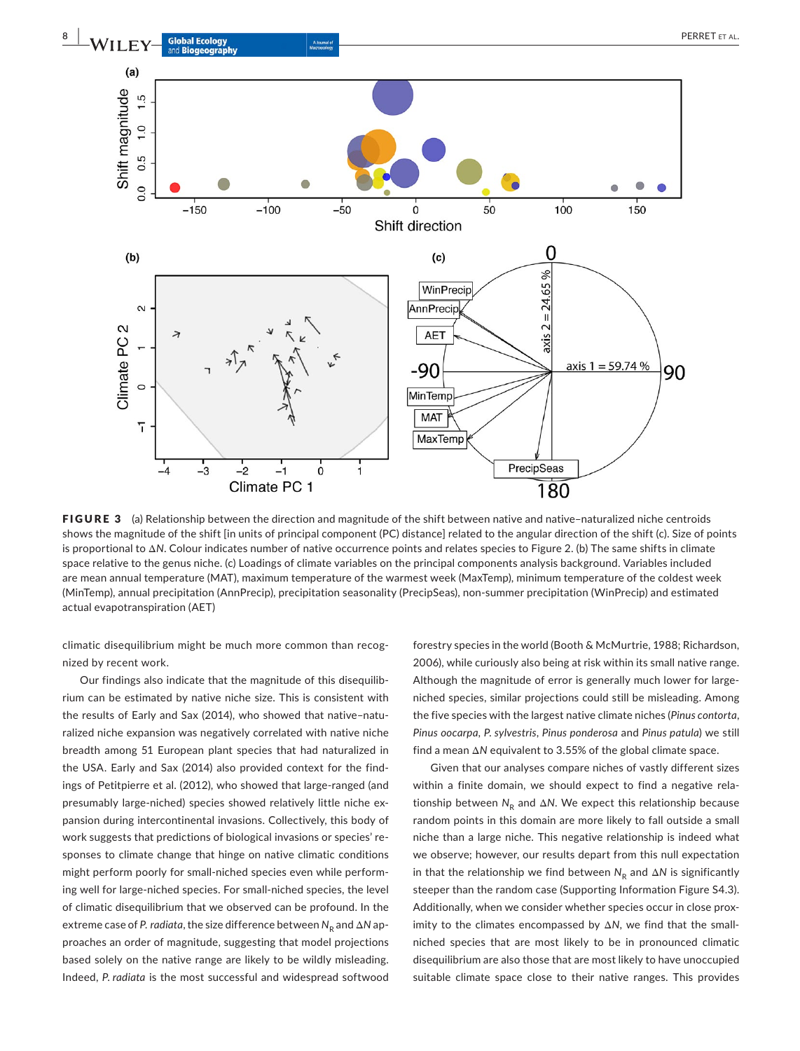

FIGURE 3 (a) Relationship between the direction and magnitude of the shift between native and native-naturalized niche centroids shows the magnitude of the shift [in units of principal component (PC) distance] related to the angular direction of the shift (c). Size of points is proportional to Δ*N*. Colour indicates number of native occurrence points and relates species to Figure 2. (b) The same shifts in climate space relative to the genus niche. (c) Loadings of climate variables on the principal components analysis background. Variables included are mean annual temperature (MAT), maximum temperature of the warmest week (MaxTemp), minimum temperature of the coldest week (MinTemp), annual precipitation (AnnPrecip), precipitation seasonality (PrecipSeas), non‐summer precipitation (WinPrecip) and estimated actual evapotranspiration (AET)

climatic disequilibrium might be much more common than recognized by recent work.

Our findings also indicate that the magnitude of this disequilibrium can be estimated by native niche size. This is consistent with the results of Early and Sax (2014), who showed that native–naturalized niche expansion was negatively correlated with native niche breadth among 51 European plant species that had naturalized in the USA. Early and Sax (2014) also provided context for the findings of Petitpierre et al. (2012), who showed that large-ranged (and presumably large‐niched) species showed relatively little niche expansion during intercontinental invasions. Collectively, this body of work suggests that predictions of biological invasions or species' responses to climate change that hinge on native climatic conditions might perform poorly for small‐niched species even while performing well for large‐niched species. For small‐niched species, the level of climatic disequilibrium that we observed can be profound. In the  $extreme case of P. *radiata*, the size difference between N<sub>p</sub> and ΔN ap$ proaches an order of magnitude, suggesting that model projections based solely on the native range are likely to be wildly misleading. Indeed, *P. radiata* is the most successful and widespread softwood

forestry species in the world (Booth & McMurtrie, 1988; Richardson, 2006), while curiously also being at risk within its small native range. Although the magnitude of error is generally much lower for large‐ niched species, similar projections could still be misleading. Among the five species with the largest native climate niches (*Pinus contorta*, *Pinus oocarpa*, *P. sylvestris*, *Pinus ponderosa* and *Pinus patula*) we still find a mean Δ*N* equivalent to 3.55% of the global climate space.

Given that our analyses compare niches of vastly different sizes within a finite domain, we should expect to find a negative relationship between *N*<sub>p</sub> and Δ*N*. We expect this relationship because random points in this domain are more likely to fall outside a small niche than a large niche. This negative relationship is indeed what we observe; however, our results depart from this null expectation in that the relationship we find between  $N_R$  and  $\Delta N$  is significantly steeper than the random case (Supporting Information Figure S4.3). Additionally, when we consider whether species occur in close proximity to the climates encompassed by Δ*N*, we find that the small‐ niched species that are most likely to be in pronounced climatic disequilibrium are also those that are most likely to have unoccupied suitable climate space close to their native ranges. This provides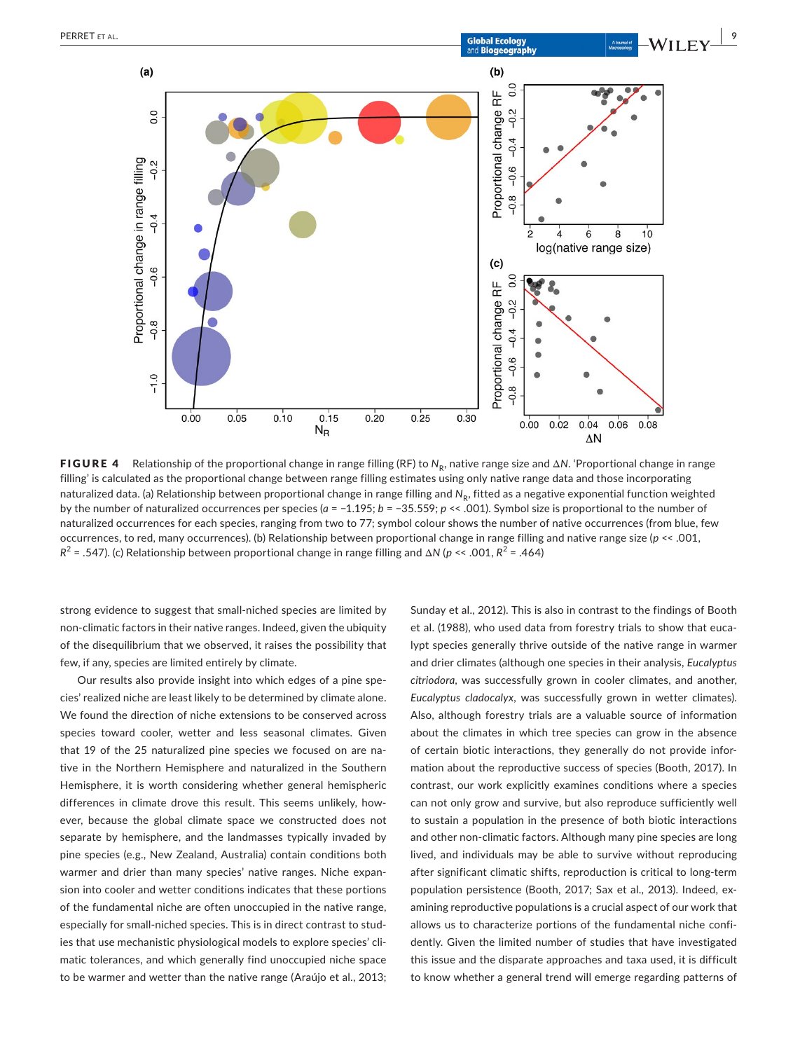

**FIGURE 4** Relationship of the proportional change in range filling (RF) to  $N_R$ , native range size and  $\Delta N$ . 'Proportional change in range filling' is calculated as the proportional change between range filling estimates using only native range data and those incorporating naturalized data. (a) Relationship between proportional change in range filling and N<sub>R</sub>, fitted as a negative exponential function weighted by the number of naturalized occurrences per species (*a* = −1.195; *b* = −35.559; *p* << .001). Symbol size is proportional to the number of naturalized occurrences for each species, ranging from two to 77; symbol colour shows the number of native occurrences (from blue, few occurrences, to red, many occurrences). (b) Relationship between proportional change in range filling and native range size (*p* << .001, *R*<sup>2</sup> = .547). (c) Relationship between proportional change in range filling and Δ*N* (*p* << .001, *R*<sup>2</sup> = .464)

strong evidence to suggest that small‐niched species are limited by non‐climatic factors in their native ranges. Indeed, given the ubiquity of the disequilibrium that we observed, it raises the possibility that few, if any, species are limited entirely by climate.

Our results also provide insight into which edges of a pine species' realized niche are least likely to be determined by climate alone. We found the direction of niche extensions to be conserved across species toward cooler, wetter and less seasonal climates. Given that 19 of the 25 naturalized pine species we focused on are native in the Northern Hemisphere and naturalized in the Southern Hemisphere, it is worth considering whether general hemispheric differences in climate drove this result. This seems unlikely, however, because the global climate space we constructed does not separate by hemisphere, and the landmasses typically invaded by pine species (e.g., New Zealand, Australia) contain conditions both warmer and drier than many species' native ranges. Niche expansion into cooler and wetter conditions indicates that these portions of the fundamental niche are often unoccupied in the native range, especially for small‐niched species. This is in direct contrast to studies that use mechanistic physiological models to explore species' climatic tolerances, and which generally find unoccupied niche space to be warmer and wetter than the native range (Araújo et al., 2013; Sunday et al., 2012). This is also in contrast to the findings of Booth et al. (1988), who used data from forestry trials to show that eucalypt species generally thrive outside of the native range in warmer and drier climates (although one species in their analysis, *Eucalyptus citriodora*, was successfully grown in cooler climates, and another, *Eucalyptus cladocalyx*, was successfully grown in wetter climates). Also, although forestry trials are a valuable source of information about the climates in which tree species can grow in the absence of certain biotic interactions, they generally do not provide information about the reproductive success of species (Booth, 2017). In contrast, our work explicitly examines conditions where a species can not only grow and survive, but also reproduce sufficiently well to sustain a population in the presence of both biotic interactions and other non-climatic factors. Although many pine species are long lived, and individuals may be able to survive without reproducing after significant climatic shifts, reproduction is critical to long-term population persistence (Booth, 2017; Sax et al., 2013). Indeed, examining reproductive populations is a crucial aspect of our work that allows us to characterize portions of the fundamental niche confidently. Given the limited number of studies that have investigated this issue and the disparate approaches and taxa used, it is difficult to know whether a general trend will emerge regarding patterns of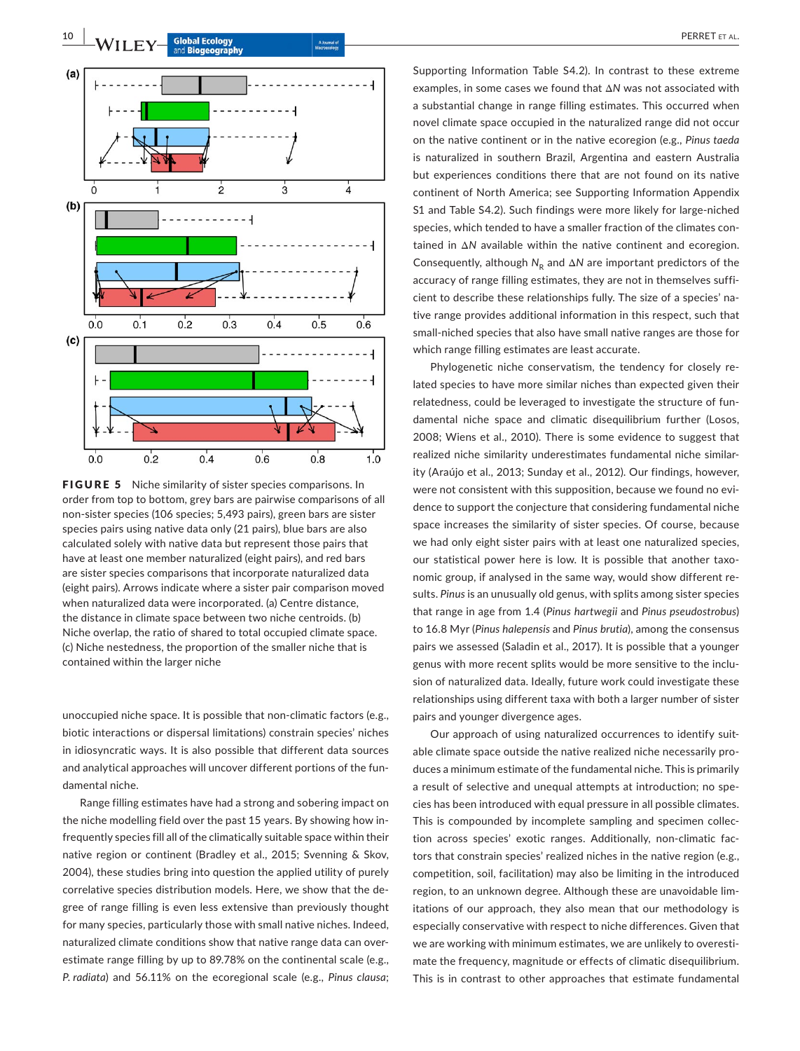

FIGURE 5 Niche similarity of sister species comparisons. In order from top to bottom, grey bars are pairwise comparisons of all non‐sister species (106 species; 5,493 pairs), green bars are sister species pairs using native data only (21 pairs), blue bars are also calculated solely with native data but represent those pairs that have at least one member naturalized (eight pairs), and red bars are sister species comparisons that incorporate naturalized data (eight pairs). Arrows indicate where a sister pair comparison moved when naturalized data were incorporated. (a) Centre distance, the distance in climate space between two niche centroids. (b) Niche overlap, the ratio of shared to total occupied climate space. (c) Niche nestedness, the proportion of the smaller niche that is contained within the larger niche

unoccupied niche space. It is possible that non‐climatic factors (e.g., biotic interactions or dispersal limitations) constrain species' niches in idiosyncratic ways. It is also possible that different data sources and analytical approaches will uncover different portions of the fundamental niche.

Range filling estimates have had a strong and sobering impact on the niche modelling field over the past 15 years. By showing how infrequently species fill all of the climatically suitable space within their native region or continent (Bradley et al., 2015; Svenning & Skov, 2004), these studies bring into question the applied utility of purely correlative species distribution models. Here, we show that the degree of range filling is even less extensive than previously thought for many species, particularly those with small native niches. Indeed, naturalized climate conditions show that native range data can overestimate range filling by up to 89.78% on the continental scale (e.g., *P. radiata*) and 56.11% on the ecoregional scale (e.g., *Pinus clausa*;

Supporting Information Table S4.2). In contrast to these extreme examples, in some cases we found that Δ*N* was not associated with a substantial change in range filling estimates. This occurred when novel climate space occupied in the naturalized range did not occur on the native continent or in the native ecoregion (e.g., *Pinus taeda* is naturalized in southern Brazil, Argentina and eastern Australia but experiences conditions there that are not found on its native continent of North America; see Supporting Information Appendix S1 and Table S4.2). Such findings were more likely for large‐niched species, which tended to have a smaller fraction of the climates contained in Δ*N* available within the native continent and ecoregion. Consequently, although *N*<sub>R</sub> and Δ*N* are important predictors of the accuracy of range filling estimates, they are not in themselves sufficient to describe these relationships fully. The size of a species' native range provides additional information in this respect, such that small‐niched species that also have small native ranges are those for which range filling estimates are least accurate.

Phylogenetic niche conservatism, the tendency for closely related species to have more similar niches than expected given their relatedness, could be leveraged to investigate the structure of fundamental niche space and climatic disequilibrium further (Losos, 2008; Wiens et al., 2010). There is some evidence to suggest that realized niche similarity underestimates fundamental niche similarity (Araújo et al., 2013; Sunday et al., 2012). Our findings, however, were not consistent with this supposition, because we found no evidence to support the conjecture that considering fundamental niche space increases the similarity of sister species. Of course, because we had only eight sister pairs with at least one naturalized species, our statistical power here is low. It is possible that another taxonomic group, if analysed in the same way, would show different results. *Pinus* is an unusually old genus, with splits among sister species that range in age from 1.4 (*Pinus hartwegii* and *Pinus pseudostrobus*) to 16.8 Myr (*Pinus halepensis* and *Pinus brutia*), among the consensus pairs we assessed (Saladin et al., 2017). It is possible that a younger genus with more recent splits would be more sensitive to the inclusion of naturalized data. Ideally, future work could investigate these relationships using different taxa with both a larger number of sister pairs and younger divergence ages.

Our approach of using naturalized occurrences to identify suitable climate space outside the native realized niche necessarily produces a minimum estimate of the fundamental niche. This is primarily a result of selective and unequal attempts at introduction; no species has been introduced with equal pressure in all possible climates. This is compounded by incomplete sampling and specimen collection across species' exotic ranges. Additionally, non‐climatic factors that constrain species' realized niches in the native region (e.g., competition, soil, facilitation) may also be limiting in the introduced region, to an unknown degree. Although these are unavoidable limitations of our approach, they also mean that our methodology is especially conservative with respect to niche differences. Given that we are working with minimum estimates, we are unlikely to overestimate the frequency, magnitude or effects of climatic disequilibrium. This is in contrast to other approaches that estimate fundamental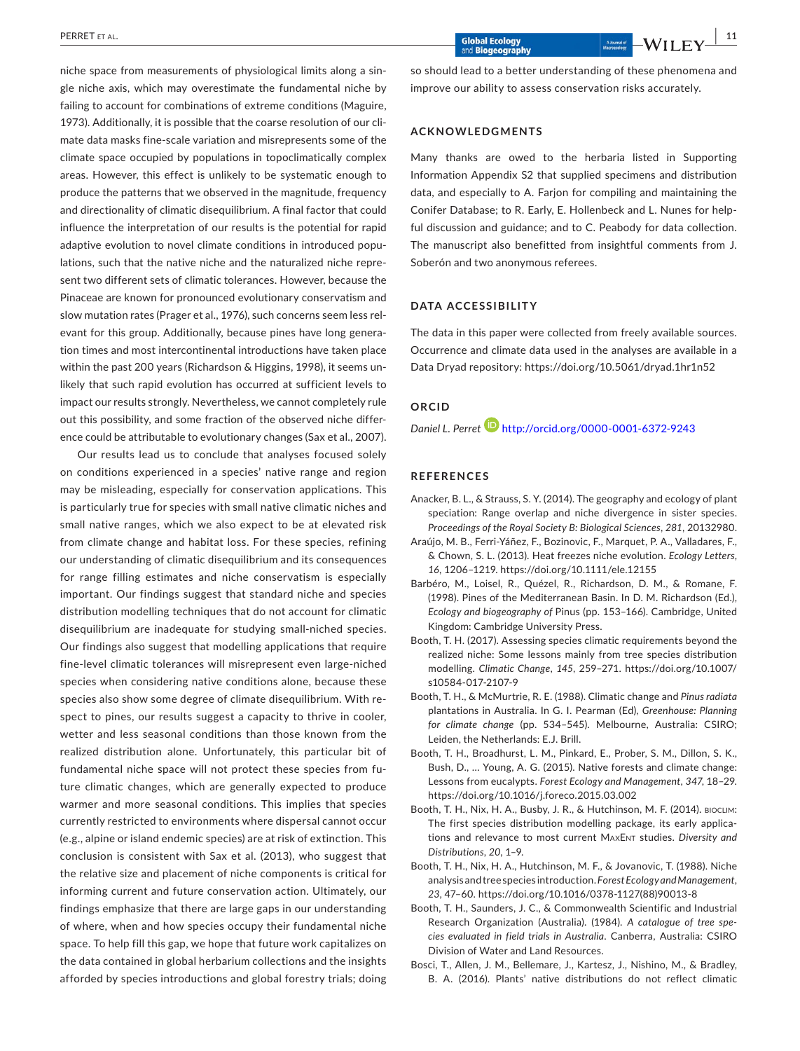niche space from measurements of physiological limits along a single niche axis, which may overestimate the fundamental niche by failing to account for combinations of extreme conditions (Maguire, 1973). Additionally, it is possible that the coarse resolution of our climate data masks fine‐scale variation and misrepresents some of the climate space occupied by populations in topoclimatically complex areas. However, this effect is unlikely to be systematic enough to produce the patterns that we observed in the magnitude, frequency and directionality of climatic disequilibrium. A final factor that could influence the interpretation of our results is the potential for rapid adaptive evolution to novel climate conditions in introduced populations, such that the native niche and the naturalized niche represent two different sets of climatic tolerances. However, because the Pinaceae are known for pronounced evolutionary conservatism and slow mutation rates (Prager et al., 1976), such concerns seem less relevant for this group. Additionally, because pines have long generation times and most intercontinental introductions have taken place within the past 200 years (Richardson & Higgins, 1998), it seems unlikely that such rapid evolution has occurred at sufficient levels to impact our results strongly. Nevertheless, we cannot completely rule out this possibility, and some fraction of the observed niche difference could be attributable to evolutionary changes (Sax et al., 2007).

Our results lead us to conclude that analyses focused solely on conditions experienced in a species' native range and region may be misleading, especially for conservation applications. This is particularly true for species with small native climatic niches and small native ranges, which we also expect to be at elevated risk from climate change and habitat loss. For these species, refining our understanding of climatic disequilibrium and its consequences for range filling estimates and niche conservatism is especially important. Our findings suggest that standard niche and species distribution modelling techniques that do not account for climatic disequilibrium are inadequate for studying small‐niched species. Our findings also suggest that modelling applications that require fine‐level climatic tolerances will misrepresent even large‐niched species when considering native conditions alone, because these species also show some degree of climate disequilibrium. With respect to pines, our results suggest a capacity to thrive in cooler, wetter and less seasonal conditions than those known from the realized distribution alone. Unfortunately, this particular bit of fundamental niche space will not protect these species from future climatic changes, which are generally expected to produce warmer and more seasonal conditions. This implies that species currently restricted to environments where dispersal cannot occur (e.g., alpine or island endemic species) are at risk of extinction. This conclusion is consistent with Sax et al. (2013), who suggest that the relative size and placement of niche components is critical for informing current and future conservation action. Ultimately, our findings emphasize that there are large gaps in our understanding of where, when and how species occupy their fundamental niche space. To help fill this gap, we hope that future work capitalizes on the data contained in global herbarium collections and the insights afforded by species introductions and global forestry trials; doing

so should lead to a better understanding of these phenomena and improve our ability to assess conservation risks accurately.

#### **ACKNOWLEDGMENTS**

Many thanks are owed to the herbaria listed in Supporting Information Appendix S2 that supplied specimens and distribution data, and especially to A. Farjon for compiling and maintaining the Conifer Database; to R. Early, E. Hollenbeck and L. Nunes for helpful discussion and guidance; and to C. Peabody for data collection. The manuscript also benefitted from insightful comments from J. Soberón and two anonymous referees.

#### **DATA ACCESSIBILITY**

The data in this paper were collected from freely available sources. Occurrence and climate data used in the analyses are available in a Data Dryad repository: <https://doi.org/10.5061/dryad.1hr1n52>

## **ORCID**

*Daniel L. Perret* <http://orcid.org/0000-0001-6372-9243>

#### **REFERENCES**

- Anacker, B. L., & Strauss, S. Y. (2014). The geography and ecology of plant speciation: Range overlap and niche divergence in sister species. *Proceedings of the Royal Society B: Biological Sciences*, *281*, 20132980.
- Araújo, M. B., Ferri‐Yáñez, F., Bozinovic, F., Marquet, P. A., Valladares, F., & Chown, S. L. (2013). Heat freezes niche evolution. *Ecology Letters*, *16*, 1206–1219. <https://doi.org/10.1111/ele.12155>
- Barbéro, M., Loisel, R., Quézel, R., Richardson, D. M., & Romane, F. (1998). Pines of the Mediterranean Basin. In D. M. Richardson (Ed.), *Ecology and biogeography of* Pinus (pp. 153–166). Cambridge, United Kingdom: Cambridge University Press.
- Booth, T. H. (2017). Assessing species climatic requirements beyond the realized niche: Some lessons mainly from tree species distribution modelling. *Climatic Change*, *145*, 259–271. [https://doi.org/10.1007/](https://doi.org/10.1007/s10584-017-2107-9) [s10584-017-2107-9](https://doi.org/10.1007/s10584-017-2107-9)
- Booth, T. H., & McMurtrie, R. E. (1988). Climatic change and *Pinus radiata* plantations in Australia. In G. I. Pearman (Ed), *Greenhouse: Planning for climate change* (pp. 534–545). Melbourne, Australia: CSIRO; Leiden, the Netherlands: E.J. Brill.
- Booth, T. H., Broadhurst, L. M., Pinkard, E., Prober, S. M., Dillon, S. K., Bush, D., … Young, A. G. (2015). Native forests and climate change: Lessons from eucalypts. *Forest Ecology and Management*, *347*, 18–29. <https://doi.org/10.1016/j.foreco.2015.03.002>
- Booth, T. H., Nix, H. A., Busby, J. R., & Hutchinson, M. F. (2014). bioclim: The first species distribution modelling package, its early applications and relevance to most current MaxEnt studies. *Diversity and Distributions*, *20*, 1–9.
- Booth, T. H., Nix, H. A., Hutchinson, M. F., & Jovanovic, T. (1988). Niche analysis andtreespecies introduction.*Forest Ecology and Management*, *23*, 47–60. [https://doi.org/10.1016/0378-1127\(88\)90013-8](https://doi.org/10.1016/0378-1127(88)90013-8)
- Booth, T. H., Saunders, J. C., & Commonwealth Scientific and Industrial Research Organization (Australia). (1984). *A catalogue of tree species evaluated in field trials in Australia*. Canberra, Australia: CSIRO Division of Water and Land Resources.
- Bosci, T., Allen, J. M., Bellemare, J., Kartesz, J., Nishino, M., & Bradley, B. A. (2016). Plants' native distributions do not reflect climatic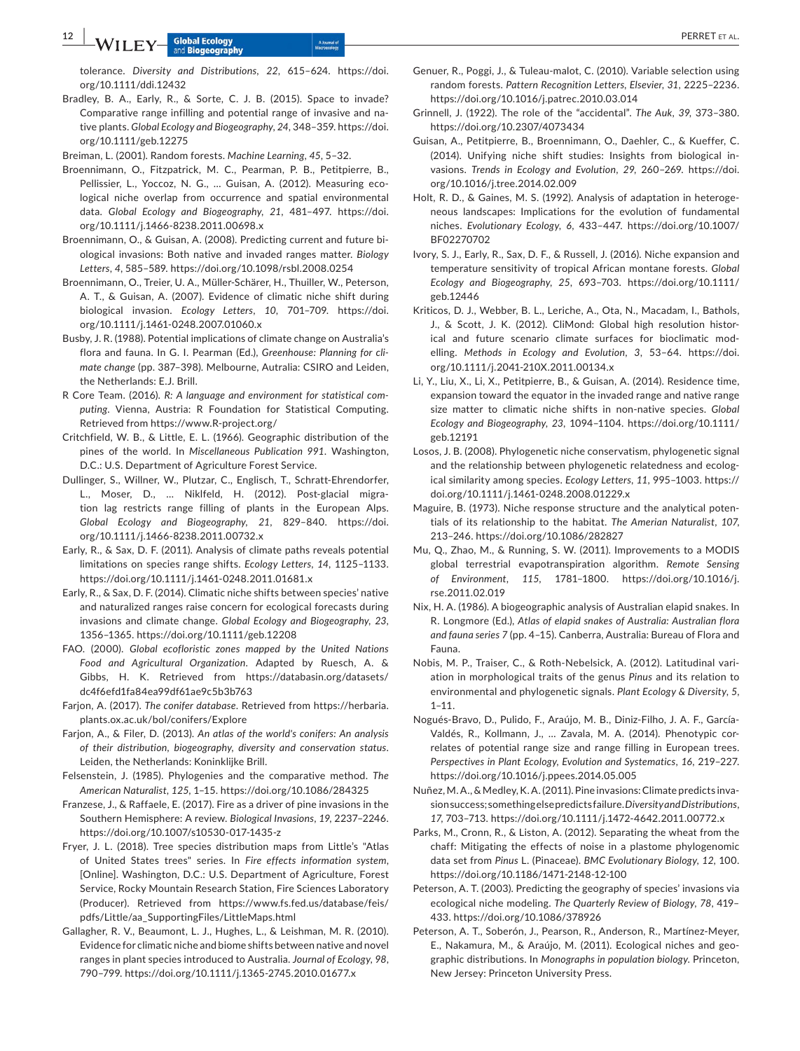tolerance. *Diversity and Distributions*, *22*, 615–624. [https://doi.](https://doi.org/10.1111/ddi.12432) [org/10.1111/ddi.12432](https://doi.org/10.1111/ddi.12432)

Bradley, B. A., Early, R., & Sorte, C. J. B. (2015). Space to invade? Comparative range infilling and potential range of invasive and native plants. *Global Ecology and Biogeography*, *24*, 348–359. [https://doi.](https://doi.org/10.1111/geb.12275) [org/10.1111/geb.12275](https://doi.org/10.1111/geb.12275)

Breiman, L. (2001). Random forests. *Machine Learning*, *45*, 5–32.

- Broennimann, O., Fitzpatrick, M. C., Pearman, P. B., Petitpierre, B., Pellissier, L., Yoccoz, N. G., … Guisan, A. (2012). Measuring ecological niche overlap from occurrence and spatial environmental data. *Global Ecology and Biogeography*, *21*, 481–497. [https://doi.](https://doi.org/10.1111/j.1466-8238.2011.00698.x) [org/10.1111/j.1466-8238.2011.00698.x](https://doi.org/10.1111/j.1466-8238.2011.00698.x)
- Broennimann, O., & Guisan, A. (2008). Predicting current and future biological invasions: Both native and invaded ranges matter. *Biology Letters*, *4*, 585–589. <https://doi.org/10.1098/rsbl.2008.0254>
- Broennimann, O., Treier, U. A., Müller‐Schärer, H., Thuiller, W., Peterson, A. T., & Guisan, A. (2007). Evidence of climatic niche shift during biological invasion. *Ecology Letters*, *10*, 701–709. [https://doi.](https://doi.org/10.1111/j.1461-0248.2007.01060.x) [org/10.1111/j.1461-0248.2007.01060.x](https://doi.org/10.1111/j.1461-0248.2007.01060.x)
- Busby, J. R. (1988). Potential implications of climate change on Australia's flora and fauna. In G. I. Pearman (Ed.), *Greenhouse: Planning for climate change* (pp. 387–398). Melbourne, Autralia: CSIRO and Leiden, the Netherlands: E.J. Brill.
- R Core Team. (2016). *R: A language and environment for statistical computing*. Vienna, Austria: R Foundation for Statistical Computing. Retrieved from <https://www.R-project.org/>
- Critchfield, W. B., & Little, E. L. (1966). Geographic distribution of the pines of the world. In *Miscellaneous Publication 991*. Washington, D.C.: U.S. Department of Agriculture Forest Service.
- Dullinger, S., Willner, W., Plutzar, C., Englisch, T., Schratt‐Ehrendorfer, L., Moser, D., … Niklfeld, H. (2012). Post‐glacial migration lag restricts range filling of plants in the European Alps. *Global Ecology and Biogeography*, *21*, 829–840. [https://doi.](https://doi.org/10.1111/j.1466-8238.2011.00732.x) [org/10.1111/j.1466-8238.2011.00732.x](https://doi.org/10.1111/j.1466-8238.2011.00732.x)
- Early, R., & Sax, D. F. (2011). Analysis of climate paths reveals potential limitations on species range shifts. *Ecology Letters*, *14*, 1125–1133. <https://doi.org/10.1111/j.1461-0248.2011.01681.x>
- Early, R., & Sax, D. F. (2014). Climatic niche shifts between species' native and naturalized ranges raise concern for ecological forecasts during invasions and climate change. *Global Ecology and Biogeography*, *23*, 1356–1365. <https://doi.org/10.1111/geb.12208>
- FAO. (2000). *Global ecofloristic zones mapped by the United Nations Food and Agricultural Organization*. Adapted by Ruesch, A. & Gibbs, H. K. Retrieved from [https://databasin.org/datasets/](https://databasin.org/datasets/dc4f6efd1fa84ea99df61ae9c5b3b763) [dc4f6efd1fa84ea99df61ae9c5b3b763](https://databasin.org/datasets/dc4f6efd1fa84ea99df61ae9c5b3b763)
- Farjon, A. (2017). *The conifer database*. Retrieved from [https://herbaria.](https://herbaria.plants.ox.ac.uk/bol/conifers/Explore) [plants.ox.ac.uk/bol/conifers/Explore](https://herbaria.plants.ox.ac.uk/bol/conifers/Explore)
- Farjon, A., & Filer, D. (2013). *An atlas of the world's conifers: An analysis of their distribution, biogeography, diversity and conservation status*. Leiden, the Netherlands: Koninklijke Brill.
- Felsenstein, J. (1985). Phylogenies and the comparative method. *The American Naturalist*, *125*, 1–15. <https://doi.org/10.1086/284325>
- Franzese, J., & Raffaele, E. (2017). Fire as a driver of pine invasions in the Southern Hemisphere: A review. *Biological Invasions*, *19*, 2237–2246. <https://doi.org/10.1007/s10530-017-1435-z>
- Fryer, J. L. (2018). Tree species distribution maps from Little's "Atlas of United States trees" series. In *Fire effects information system*, [Online]. Washington, D.C.: U.S. Department of Agriculture, Forest Service, Rocky Mountain Research Station, Fire Sciences Laboratory (Producer). Retrieved from [https://www.fs.fed.us/database/feis/](https://www.fs.fed.us/database/feis/pdfs/Little/aa_SupportingFiles/LittleMaps.html) [pdfs/Little/aa\\_SupportingFiles/LittleMaps.html](https://www.fs.fed.us/database/feis/pdfs/Little/aa_SupportingFiles/LittleMaps.html)
- Gallagher, R. V., Beaumont, L. J., Hughes, L., & Leishman, M. R. (2010). Evidence for climatic niche and biome shifts between native and novel ranges in plant species introduced to Australia. *Journal of Ecology*, *98*, 790–799. <https://doi.org/10.1111/j.1365-2745.2010.01677.x>
- Genuer, R., Poggi, J., & Tuleau‐malot, C. (2010). Variable selection using random forests. *Pattern Recognition Letters, Elsevier*, *31*, 2225–2236. <https://doi.org/10.1016/j.patrec.2010.03.014>
- Grinnell, J. (1922). The role of the "accidental". *The Auk*, *39*, 373–380. <https://doi.org/10.2307/4073434>
- Guisan, A., Petitpierre, B., Broennimann, O., Daehler, C., & Kueffer, C. (2014). Unifying niche shift studies: Insights from biological invasions. *Trends in Ecology and Evolution*, *29*, 260–269. [https://doi.](https://doi.org/10.1016/j.tree.2014.02.009) [org/10.1016/j.tree.2014.02.009](https://doi.org/10.1016/j.tree.2014.02.009)
- Holt, R. D., & Gaines, M. S. (1992). Analysis of adaptation in heterogeneous landscapes: Implications for the evolution of fundamental niches. *Evolutionary Ecology*, *6*, 433–447. [https://doi.org/10.1007/](https://doi.org/10.1007/BF02270702) [BF02270702](https://doi.org/10.1007/BF02270702)
- Ivory, S. J., Early, R., Sax, D. F., & Russell, J. (2016). Niche expansion and temperature sensitivity of tropical African montane forests. *Global Ecology and Biogeography*, *25*, 693–703. [https://doi.org/10.1111/](https://doi.org/10.1111/geb.12446) [geb.12446](https://doi.org/10.1111/geb.12446)
- Kriticos, D. J., Webber, B. L., Leriche, A., Ota, N., Macadam, I., Bathols, J., & Scott, J. K. (2012). CliMond: Global high resolution historical and future scenario climate surfaces for bioclimatic modelling. *Methods in Ecology and Evolution*, *3*, 53–64. [https://doi.](https://doi.org/10.1111/j.2041-210X.2011.00134.x) [org/10.1111/j.2041-210X.2011.00134.x](https://doi.org/10.1111/j.2041-210X.2011.00134.x)
- Li, Y., Liu, X., Li, X., Petitpierre, B., & Guisan, A. (2014). Residence time, expansion toward the equator in the invaded range and native range size matter to climatic niche shifts in non‐native species. *Global Ecology and Biogeography*, *23*, 1094–1104. [https://doi.org/10.1111/](https://doi.org/10.1111/geb.12191) [geb.12191](https://doi.org/10.1111/geb.12191)
- Losos, J. B. (2008). Phylogenetic niche conservatism, phylogenetic signal and the relationship between phylogenetic relatedness and ecological similarity among species. *Ecology Letters*, *11*, 995–1003. [https://](https://doi.org/10.1111/j.1461-0248.2008.01229.x) [doi.org/10.1111/j.1461-0248.2008.01229.x](https://doi.org/10.1111/j.1461-0248.2008.01229.x)
- Maguire, B. (1973). Niche response structure and the analytical potentials of its relationship to the habitat. *The Amerian Naturalist*, *107*, 213–246. <https://doi.org/10.1086/282827>
- Mu, Q., Zhao, M., & Running, S. W. (2011). Improvements to a MODIS global terrestrial evapotranspiration algorithm. *Remote Sensing of Environment*, *115*, 1781–1800. [https://doi.org/10.1016/j.](https://doi.org/10.1016/j.rse.2011.02.019) [rse.2011.02.019](https://doi.org/10.1016/j.rse.2011.02.019)
- Nix, H. A. (1986). A biogeographic analysis of Australian elapid snakes. In R. Longmore (Ed.), *Atlas of elapid snakes of Australia: Australian flora and fauna series 7* (pp. 4–15). Canberra, Australia: Bureau of Flora and Fauna.
- Nobis, M. P., Traiser, C., & Roth‐Nebelsick, A. (2012). Latitudinal variation in morphological traits of the genus *Pinus* and its relation to environmental and phylogenetic signals. *Plant Ecology & Diversity*, *5*, 1–11.
- Nogués‐Bravo, D., Pulido, F., Araújo, M. B., Diniz‐Filho, J. A. F., García‐ Valdés, R., Kollmann, J., … Zavala, M. A. (2014). Phenotypic correlates of potential range size and range filling in European trees. *Perspectives in Plant Ecology, Evolution and Systematics*, *16*, 219–227. <https://doi.org/10.1016/j.ppees.2014.05.005>
- Nuñez,M.A., &Medley,K.A. (2011). Pine invasions:Climate predicts invasionsuccess;somethingelsepredictsfailure.*Diversity and Distributions*, *17*, 703–713. <https://doi.org/10.1111/j.1472-4642.2011.00772.x>
- Parks, M., Cronn, R., & Liston, A. (2012). Separating the wheat from the chaff: Mitigating the effects of noise in a plastome phylogenomic data set from *Pinus* L. (Pinaceae). *BMC Evolutionary Biology*, *12*, 100. <https://doi.org/10.1186/1471-2148-12-100>
- Peterson, A. T. (2003). Predicting the geography of species' invasions via ecological niche modeling. *The Quarterly Review of Biology*, *78*, 419– 433. <https://doi.org/10.1086/378926>
- Peterson, A. T., Soberón, J., Pearson, R., Anderson, R., Martínez‐Meyer, E., Nakamura, M., & Araújo, M. (2011). Ecological niches and geographic distributions. In *Monographs in population biology*. Princeton, New Jersey: Princeton University Press.